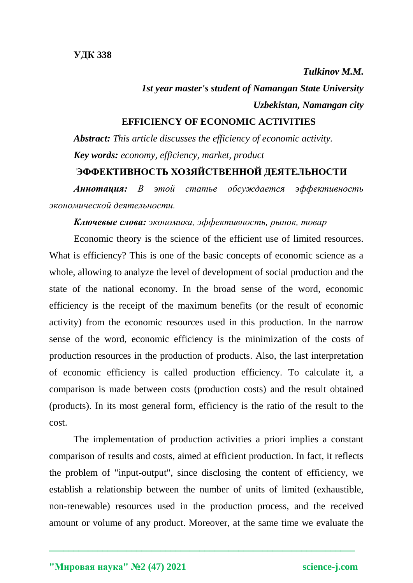*Tulkinov M.M.*

*1st year master's student of Namangan State University Uzbekistan, Namangan city*

## **EFFICIENCY OF ECONOMIC ACTIVITIES**

*Abstract: This article discusses the efficiency of economic activity. Key words: economy, efficiency, market, product* **ЭФФЕКТИВНОСТЬ ХОЗЯЙСТВЕННОЙ ДЕЯТЕЛЬНОСТИ** 

*Аннотация: В этой статье обсуждается эффективность экономической деятельности.*

## *Ключевые слова: экономика, эффективность, рынок, товар*

Economic theory is the science of the efficient use of limited resources. What is efficiency? This is one of the basic concepts of economic science as a whole, allowing to analyze the level of development of social production and the state of the national economy. In the broad sense of the word, economic efficiency is the receipt of the maximum benefits (or the result of economic activity) from the economic resources used in this production. In the narrow sense of the word, economic efficiency is the minimization of the costs of production resources in the production of products. Also, the last interpretation of economic efficiency is called production efficiency. To calculate it, a comparison is made between costs (production costs) and the result obtained (products). In its most general form, efficiency is the ratio of the result to the cost.

The implementation of production activities a priori implies a constant comparison of results and costs, aimed at efficient production. In fact, it reflects the problem of "input-output", since disclosing the content of efficiency, we establish a relationship between the number of units of limited (exhaustible, non-renewable) resources used in the production process, and the received amount or volume of any product. Moreover, at the same time we evaluate the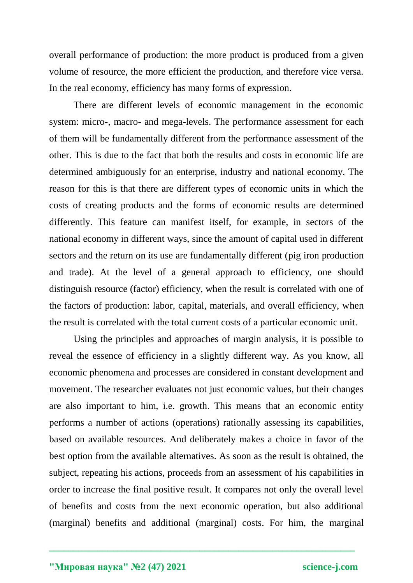overall performance of production: the more product is produced from a given volume of resource, the more efficient the production, and therefore vice versa. In the real economy, efficiency has many forms of expression.

There are different levels of economic management in the economic system: micro-, macro- and mega-levels. The performance assessment for each of them will be fundamentally different from the performance assessment of the other. This is due to the fact that both the results and costs in economic life are determined ambiguously for an enterprise, industry and national economy. The reason for this is that there are different types of economic units in which the costs of creating products and the forms of economic results are determined differently. This feature can manifest itself, for example, in sectors of the national economy in different ways, since the amount of capital used in different sectors and the return on its use are fundamentally different (pig iron production and trade). At the level of a general approach to efficiency, one should distinguish resource (factor) efficiency, when the result is correlated with one of the factors of production: labor, capital, materials, and overall efficiency, when the result is correlated with the total current costs of a particular economic unit.

Using the principles and approaches of margin analysis, it is possible to reveal the essence of efficiency in a slightly different way. As you know, all economic phenomena and processes are considered in constant development and movement. The researcher evaluates not just economic values, but their changes are also important to him, i.e. growth. This means that an economic entity performs a number of actions (operations) rationally assessing its capabilities, based on available resources. And deliberately makes a choice in favor of the best option from the available alternatives. As soon as the result is obtained, the subject, repeating his actions, proceeds from an assessment of his capabilities in order to increase the final positive result. It compares not only the overall level of benefits and costs from the next economic operation, but also additional (marginal) benefits and additional (marginal) costs. For him, the marginal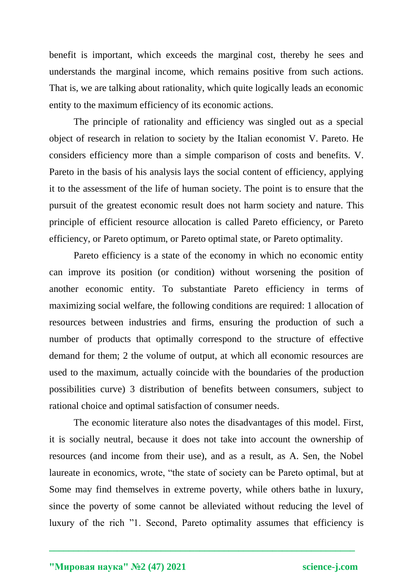benefit is important, which exceeds the marginal cost, thereby he sees and understands the marginal income, which remains positive from such actions. That is, we are talking about rationality, which quite logically leads an economic entity to the maximum efficiency of its economic actions.

The principle of rationality and efficiency was singled out as a special object of research in relation to society by the Italian economist V. Pareto. He considers efficiency more than a simple comparison of costs and benefits. V. Pareto in the basis of his analysis lays the social content of efficiency, applying it to the assessment of the life of human society. The point is to ensure that the pursuit of the greatest economic result does not harm society and nature. This principle of efficient resource allocation is called Pareto efficiency, or Pareto efficiency, or Pareto optimum, or Pareto optimal state, or Pareto optimality.

Pareto efficiency is a state of the economy in which no economic entity can improve its position (or condition) without worsening the position of another economic entity. To substantiate Pareto efficiency in terms of maximizing social welfare, the following conditions are required: 1 allocation of resources between industries and firms, ensuring the production of such a number of products that optimally correspond to the structure of effective demand for them; 2 the volume of output, at which all economic resources are used to the maximum, actually coincide with the boundaries of the production possibilities curve) 3 distribution of benefits between consumers, subject to rational choice and optimal satisfaction of consumer needs.

The economic literature also notes the disadvantages of this model. First, it is socially neutral, because it does not take into account the ownership of resources (and income from their use), and as a result, as A. Sen, the Nobel laureate in economics, wrote, "the state of society can be Pareto optimal, but at Some may find themselves in extreme poverty, while others bathe in luxury, since the poverty of some cannot be alleviated without reducing the level of luxury of the rich "1. Second, Pareto optimality assumes that efficiency is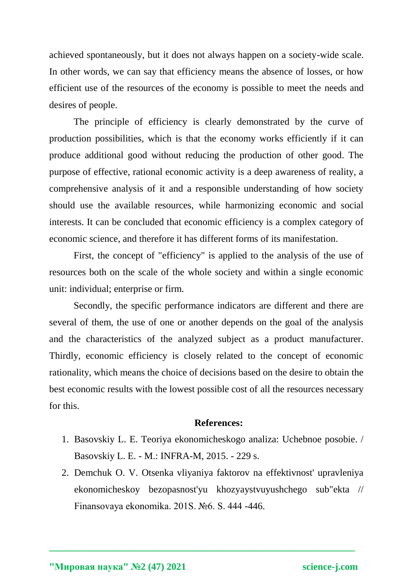achieved spontaneously, but it does not always happen on a society-wide scale. In other words, we can say that efficiency means the absence of losses, or how efficient use of the resources of the economy is possible to meet the needs and desires of people.

The principle of efficiency is clearly demonstrated by the curve of production possibilities, which is that the economy works efficiently if it can produce additional good without reducing the production of other good. The purpose of effective, rational economic activity is a deep awareness of reality, a comprehensive analysis of it and a responsible understanding of how society should use the available resources, while harmonizing economic and social interests. It can be concluded that economic efficiency is a complex category of economic science, and therefore it has different forms of its manifestation.

First, the concept of "efficiency" is applied to the analysis of the use of resources both on the scale of the whole society and within a single economic unit: individual; enterprise or firm.

Secondly, the specific performance indicators are different and there are several of them, the use of one or another depends on the goal of the analysis and the characteristics of the analyzed subject as a product manufacturer. Thirdly, economic efficiency is closely related to the concept of economic rationality, which means the choice of decisions based on the desire to obtain the best economic results with the lowest possible cost of all the resources necessary for this.

## **References:**

- 1. Basovskiy L. E. Teoriya ekonomicheskogo analiza: Uchebnoe posobie. / Basovskiy L. E. - M.: INFRA-M, 2015. - 229 s.
- 2. Demchuk O. V. Otsenka vliyaniya faktorov na effektivnost' upravleniya ekonomicheskoy bezopasnost'yu khozyaystvuyushchego sub"ekta // Finansovaya ekonomika. 201S. №6. S. 444 -446.